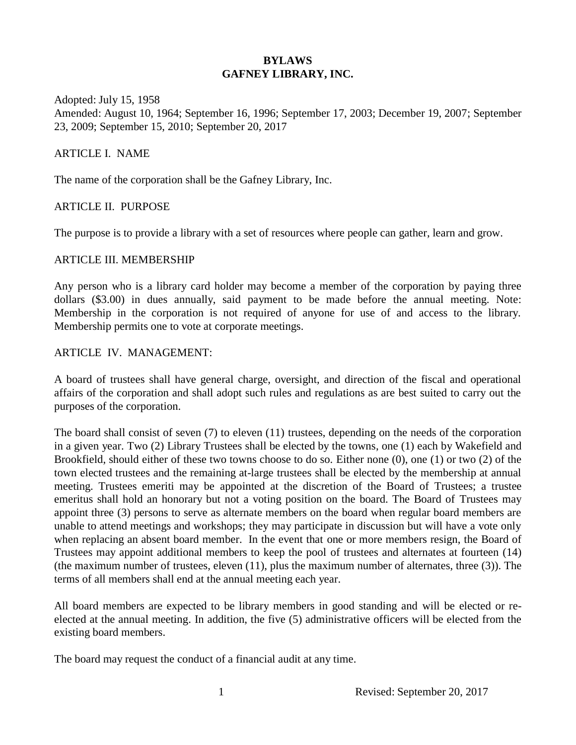# **BYLAWS GAFNEY LIBRARY, INC.**

Adopted: July 15, 1958 Amended: August 10, 1964; September 16, 1996; September 17, 2003; December 19, 2007; September 23, 2009; September 15, 2010; September 20, 2017

#### ARTICLE I. NAME

The name of the corporation shall be the Gafney Library, Inc.

#### ARTICLE II. PURPOSE

The purpose is to provide a library with a set of resources where people can gather, learn and grow.

#### ARTICLE III. MEMBERSHIP

Any person who is a library card holder may become a member of the corporation by paying three dollars (\$3.00) in dues annually, said payment to be made before the annual meeting. Note: Membership in the corporation is not required of anyone for use of and access to the library. Membership permits one to vote at corporate meetings.

#### ARTICLE IV. MANAGEMENT:

A board of trustees shall have general charge, oversight, and direction of the fiscal and operational affairs of the corporation and shall adopt such rules and regulations as are best suited to carry out the purposes of the corporation.

The board shall consist of seven (7) to eleven (11) trustees, depending on the needs of the corporation in a given year. Two (2) Library Trustees shall be elected by the towns, one (1) each by Wakefield and Brookfield, should either of these two towns choose to do so. Either none (0), one (1) or two (2) of the town elected trustees and the remaining at-large trustees shall be elected by the membership at annual meeting. Trustees emeriti may be appointed at the discretion of the Board of Trustees; a trustee emeritus shall hold an honorary but not a voting position on the board. The Board of Trustees may appoint three (3) persons to serve as alternate members on the board when regular board members are unable to attend meetings and workshops; they may participate in discussion but will have a vote only when replacing an absent board member. In the event that one or more members resign, the Board of Trustees may appoint additional members to keep the pool of trustees and alternates at fourteen (14) (the maximum number of trustees, eleven (11), plus the maximum number of alternates, three (3)). The terms of all members shall end at the annual meeting each year.

All board members are expected to be library members in good standing and will be elected or reelected at the annual meeting. In addition, the five (5) administrative officers will be elected from the existing board members.

The board may request the conduct of a financial audit at any time.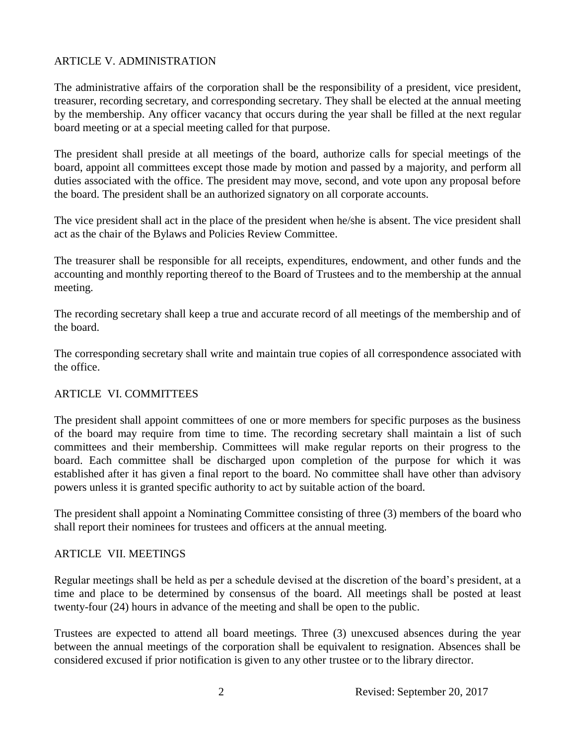### ARTICLE V. ADMINISTRATION

The administrative affairs of the corporation shall be the responsibility of a president, vice president, treasurer, recording secretary, and corresponding secretary. They shall be elected at the annual meeting by the membership. Any officer vacancy that occurs during the year shall be filled at the next regular board meeting or at a special meeting called for that purpose.

The president shall preside at all meetings of the board, authorize calls for special meetings of the board, appoint all committees except those made by motion and passed by a majority, and perform all duties associated with the office. The president may move, second, and vote upon any proposal before the board. The president shall be an authorized signatory on all corporate accounts.

The vice president shall act in the place of the president when he/she is absent. The vice president shall act as the chair of the Bylaws and Policies Review Committee.

The treasurer shall be responsible for all receipts, expenditures, endowment, and other funds and the accounting and monthly reporting thereof to the Board of Trustees and to the membership at the annual meeting.

The recording secretary shall keep a true and accurate record of all meetings of the membership and of the board.

The corresponding secretary shall write and maintain true copies of all correspondence associated with the office.

# ARTICLE VI. COMMITTEES

The president shall appoint committees of one or more members for specific purposes as the business of the board may require from time to time. The recording secretary shall maintain a list of such committees and their membership. Committees will make regular reports on their progress to the board. Each committee shall be discharged upon completion of the purpose for which it was established after it has given a final report to the board. No committee shall have other than advisory powers unless it is granted specific authority to act by suitable action of the board.

The president shall appoint a Nominating Committee consisting of three (3) members of the board who shall report their nominees for trustees and officers at the annual meeting.

#### ARTICLE VII. MEETINGS

Regular meetings shall be held as per a schedule devised at the discretion of the board's president, at a time and place to be determined by consensus of the board. All meetings shall be posted at least twenty-four (24) hours in advance of the meeting and shall be open to the public.

Trustees are expected to attend all board meetings. Three (3) unexcused absences during the year between the annual meetings of the corporation shall be equivalent to resignation. Absences shall be considered excused if prior notification is given to any other trustee or to the library director.